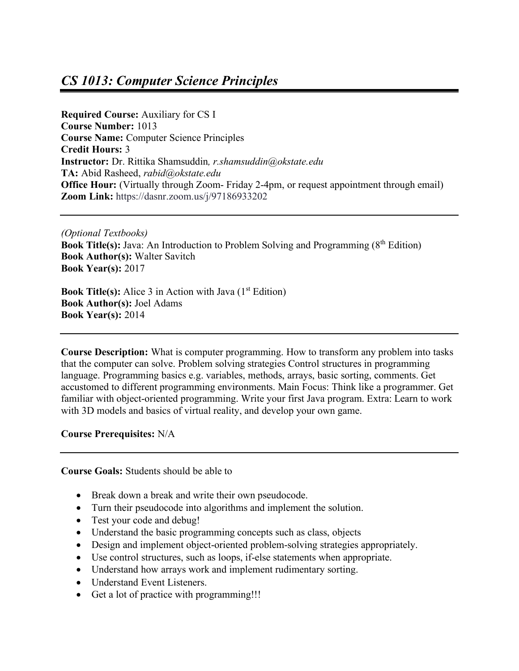# *CS 1013: Computer Science Principles*

**Required Course:** Auxiliary for CS I **Course Number:** 1013 **Course Name:** Computer Science Principles **Credit Hours:** 3 **Instructor:** Dr. Rittika Shamsuddin*, r.shamsuddin@okstate.edu* **TA:** Abid Rasheed, *rabid@okstate.edu* **Office Hour:** (Virtually through Zoom- Friday 2-4pm, or request appointment through email) **Zoom Link:** https://dasnr.zoom.us/j/97186933202

*(Optional Textbooks)* **Book Title(s):** Java: An Introduction to Problem Solving and Programming (8<sup>th</sup> Edition) **Book Author(s):** Walter Savitch **Book Year(s):** 2017

**Book Title(s):** Alice 3 in Action with Java (1<sup>st</sup> Edition) **Book Author(s):** Joel Adams **Book Year(s):** 2014

**Course Description:** What is computer programming. How to transform any problem into tasks that the computer can solve. Problem solving strategies Control structures in programming language. Programming basics e.g. variables, methods, arrays, basic sorting, comments. Get accustomed to different programming environments. Main Focus: Think like a programmer. Get familiar with object-oriented programming. Write your first Java program. Extra: Learn to work with 3D models and basics of virtual reality, and develop your own game.

**Course Prerequisites:** N/A

**Course Goals:** Students should be able to

- Break down a break and write their own pseudocode.
- Turn their pseudocode into algorithms and implement the solution.
- Test your code and debug!
- Understand the basic programming concepts such as class, objects
- Design and implement object-oriented problem-solving strategies appropriately.
- Use control structures, such as loops, if-else statements when appropriate.
- Understand how arrays work and implement rudimentary sorting.
- Understand Event Listeners.
- Get a lot of practice with programming!!!